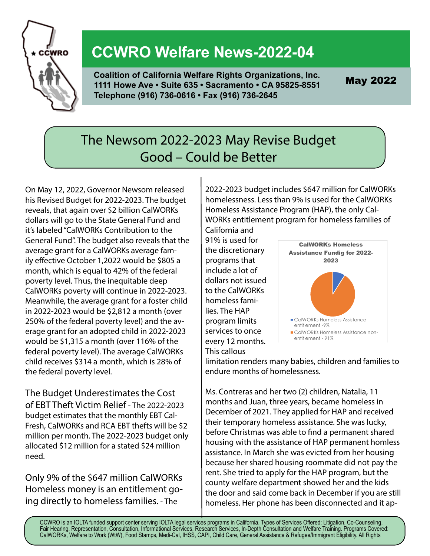

## **CCWRO Welfare News-2022-04**

**Coalition of California Welfare Rights Organizations, Inc. 1111 Howe Ave • Suite 635 • Sacramento • CA 95825-8551 Telephone (916) 736-0616 • Fax (916) 736-2645**

May 2022

### The Newsom 2022-2023 May Revise Budget Good – Could be Better

On May 12, 2022, Governor Newsom released his Revised Budget for 2022-2023. The budget reveals, that again over \$2 billion CalWORKs dollars will go to the State General Fund and it's labeled "CalWORKs Contribution to the General Fund". The budget also reveals that the average grant for a CalWORKs average family effective October 1,2022 would be \$805 a month, which is equal to 42% of the federal poverty level. Thus, the inequitable deep CalWORKs poverty will continue in 2022-2023. Meanwhile, the average grant for a foster child in 2022-2023 would be \$2,812 a month (over 250% of the federal poverty level) and the average grant for an adopted child in 2022-2023 would be \$1,315 a month (over 116% of the federal poverty level). The average CalWORKs child receives \$314 a month, which is 28% of the federal poverty level.

The Budget Underestimates the Cost of EBT Theft Victim Relief - The 2022-2023 budget estimates that the monthly EBT Cal-Fresh, CalWORKs and RCA EBT thefts will be \$2 million per month. The 2022-2023 budget only allocated \$12 million for a stated \$24 million need.

Only 9% of the \$647 million CalWORKs Homeless money is an entitlement going directly to homeless families. - The

2022-2023 budget includes \$647 million for CalWORKs homelessness. Less than 9% is used for the CalWORKs Homeless Assistance Program (HAP), the only Cal-WORKs entitlement program for homeless families of California and

91% is used for the discretionary programs that include a lot of dollars not issued to the CalWORKs homeless families. The HAP program limits services to once every 12 months. This callous



limitation renders many babies, children and families to endure months of homelessness.

Ms. Contreras and her two (2) children, Natalia, 11 months and Juan, three years, became homeless in December of 2021. They applied for HAP and received their temporary homeless assistance. She was lucky, before Christmas was able to find a permanent shared housing with the assistance of HAP permanent homless assistance. In March she was evicted from her housing because her shared housing roommate did not pay the rent. She tried to apply for the HAP program, but the county welfare department showed her and the kids the door and said come back in December if you are still homeless. Her phone has been disconnected and it ap-

CCWRO is an IOLTA funded support center serving IOLTA legal services programs in California. Types of Services Offered: Litigation, Co-Counseling, Fair Hearing, Representation, Consultation, Informational Services, Research Services, In-Depth Consultation and Welfare Training. Programs Covered: CalWORKs, Welfare to Work (WtW), Food Stamps, Medi-Cal, IHSS, CAPI, Child Care, General Assistance & Refugee/Immigrant Eligibility. All Rights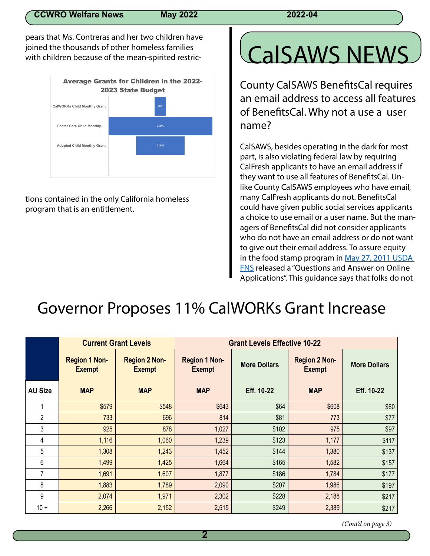pears that Ms. Contreras and her two children have joined the thousands of other homeless families with children because of the mean-spirited restric-



tions contained in the only California homeless program that is an entitlement.

# CalSAWS NEWS

County CalSAWS BenefitsCal requires an email address to access all features of BenefitsCal. Why not a use a user name?

CalSAWS, besides operating in the dark for most part, is also violating federal law by requiring CalFresh applicants to have an email address if they want to use all features of BenefitsCal. Unlike County CalSAWS employees who have email, many CalFresh applicants do not. BenefitsCal could have given public social services applicants a choice to use email or a user name. But the managers of BenefitsCal did not consider applicants who do not have an email address or do not want to give out their email address. To assure equity in the food stamp program in May 27, 2011 USDA FNS released a "Questions and Answer on Online Applications". This guidance says that folks do not

## Governor Proposes 11% CalWORKs Grant Increase

|                | <b>Current Grant Levels</b>           |                                       | <b>Grant Levels Effective 10-22</b>   |                     |                                       |                     |
|----------------|---------------------------------------|---------------------------------------|---------------------------------------|---------------------|---------------------------------------|---------------------|
|                | <b>Region 1 Non-</b><br><b>Exempt</b> | <b>Region 2 Non-</b><br><b>Exempt</b> | <b>Region 1 Non-</b><br><b>Exempt</b> | <b>More Dollars</b> | <b>Region 2 Non-</b><br><b>Exempt</b> | <b>More Dollars</b> |
| <b>AU Size</b> | <b>MAP</b>                            | <b>MAP</b>                            | <b>MAP</b>                            | Eff. 10-22          | <b>MAP</b>                            | Eff. 10-22          |
| 1              | \$579                                 | \$548                                 | \$643                                 | \$64                | \$608                                 | \$60                |
| $\overline{2}$ | 733                                   | 696                                   | 814                                   | \$81                | 773                                   | \$77                |
| 3              | 925                                   | 878                                   | 1,027                                 | \$102               | 975                                   | \$97                |
| 4              | 1,116                                 | 1,060                                 | 1,239                                 | \$123               | 1,177                                 | \$117               |
| 5              | 1,308                                 | 1,243                                 | 1,452                                 | \$144               | 1,380                                 | \$137               |
| 6              | 1,499                                 | 1,425                                 | 1,664                                 | \$165               | 1,582                                 | \$157               |
| 7              | 1,691                                 | 1,607                                 | 1,877                                 | \$186               | 1,784                                 | \$177               |
| 8              | 1,883                                 | 1,789                                 | 2,090                                 | \$207               | 1,986                                 | \$197               |
| 9              | 2,074                                 | 1,971                                 | 2,302                                 | \$228               | 2,188                                 | \$217               |
| $10 +$         | 2,266                                 | 2,152                                 | 2,515                                 | \$249               | 2,389                                 | \$217               |

 *(Cont'd on page 3)*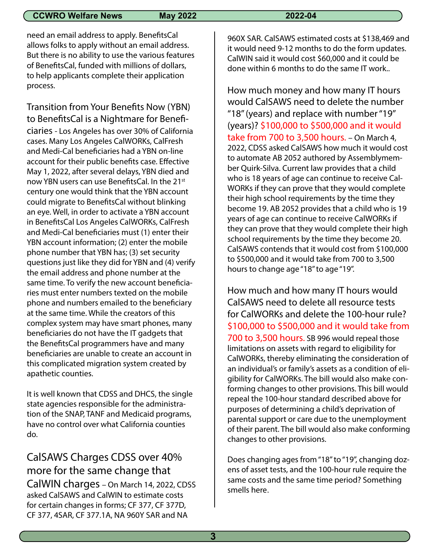### **CCWRO Welfare News May 2022 2022 2022-04**

need an email address to apply. BenefitsCal allows folks to apply without an email address. But there is no ability to use the various features of BenefitsCal, funded with millions of dollars, to help applicants complete their application process.

Transition from Your Benefits Now (YBN) to BenefitsCal is a Nightmare for Beneficiaries - Los Angeles has over 30% of California cases. Many Los Angeles CalWORKs, CalFresh and Medi-Cal beneficiaries had a YBN on-line account for their public benefits case. Effective May 1, 2022, after several delays, YBN died and now YBN users can use BenefitsCal. In the 21<sup>st</sup> century one would think that the YBN account could migrate to BenefitsCal without blinking an eye. Well, in order to activate a YBN account in BenefitsCal Los Angeles CalWORKs, CalFresh and Medi-Cal beneficiaries must (1) enter their YBN account information; (2) enter the mobile phone number that YBN has; (3) set security questions just like they did for YBN and (4) verify the email address and phone number at the same time. To verify the new account beneficiaries must enter numbers texted on the mobile phone and numbers emailed to the beneficiary at the same time. While the creators of this complex system may have smart phones, many beneficiaries do not have the IT gadgets that the BenefitsCal programmers have and many beneficiaries are unable to create an account in this complicated migration system created by apathetic counties.

It is well known that CDSS and DHCS, the single state agencies responsible for the administration of the SNAP, TANF and Medicaid programs, have no control over what California counties do.

### CalSAWS Charges CDSS over 40% more for the same change that CalWIN charges – On March 14, 2022, CDSS asked CalSAWS and CalWIN to estimate costs for certain changes in forms; CF 377, CF 377D, CF 377, 4SAR, CF 377.1A, NA 960Y SAR and NA

960X SAR. CalSAWS estimated costs at \$138,469 and it would need 9-12 months to do the form updates. CalWIN said it would cost \$60,000 and it could be done within 6 months to do the same IT work..

How much money and how many IT hours would CalSAWS need to delete the number "18" (years) and replace with number "19" (years)? \$100,000 to \$500,000 and it would take from 700 to 3,500 hours. – On March 4, 2022, CDSS asked CalSAWS how much it would cost to automate AB 2052 authored by Assemblymember Quirk-Silva. Current law provides that a child who is 18 years of age can continue to receive Cal-WORKs if they can prove that they would complete their high school requirements by the time they become 19. AB 2052 provides that a child who is 19 years of age can continue to receive CalWORKs if they can prove that they would complete their high school requirements by the time they become 20. CalSAWS contends that it would cost from \$100,000 to \$500,000 and it would take from 700 to 3,500 hours to change age "18" to age "19".

How much and how many IT hours would CalSAWS need to delete all resource tests for CalWORKs and delete the 100-hour rule? \$100,000 to \$500,000 and it would take from 700 to 3,500 hours. SB 996 would repeal those limitations on assets with regard to eligibility for CalWORKs, thereby eliminating the consideration of an individual's or family's assets as a condition of eligibility for CalWORKs. The bill would also make conforming changes to other provisions. This bill would repeal the 100-hour standard described above for purposes of determining a child's deprivation of parental support or care due to the unemployment of their parent. The bill would also make conforming changes to other provisions.

Does changing ages from "18" to "19", changing dozens of asset tests, and the 100-hour rule require the same costs and the same time period? Something smells here.

**3**